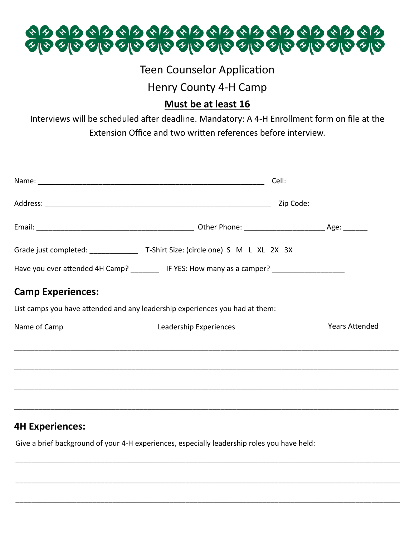

## Teen Counselor Application

## Henry County 4-H Camp

### **Must be at least 16**

Interviews will be scheduled after deadline. Mandatory: A 4-H Enrollment form on file at the Extension Office and two written references before interview.

|                          | Cell:                                                                                               |                       |
|--------------------------|-----------------------------------------------------------------------------------------------------|-----------------------|
|                          |                                                                                                     |                       |
|                          |                                                                                                     |                       |
|                          |                                                                                                     |                       |
|                          | Have you ever attended 4H Camp? __________ IF YES: How many as a camper? __________________________ |                       |
| <b>Camp Experiences:</b> |                                                                                                     |                       |
|                          | List camps you have attended and any leadership experiences you had at them:                        |                       |
| Name of Camp             | Leadership Experiences                                                                              | <b>Years Attended</b> |
|                          |                                                                                                     |                       |
|                          |                                                                                                     |                       |
|                          |                                                                                                     |                       |
|                          |                                                                                                     |                       |

\_\_\_\_\_\_\_\_\_\_\_\_\_\_\_\_\_\_\_\_\_\_\_\_\_\_\_\_\_\_\_\_\_\_\_\_\_\_\_\_\_\_\_\_\_\_\_\_\_\_\_\_\_\_\_\_\_\_\_\_\_\_\_\_\_\_\_\_\_\_\_\_\_\_\_\_\_\_\_\_\_\_\_\_\_\_\_\_\_\_\_\_\_\_\_

\_\_\_\_\_\_\_\_\_\_\_\_\_\_\_\_\_\_\_\_\_\_\_\_\_\_\_\_\_\_\_\_\_\_\_\_\_\_\_\_\_\_\_\_\_\_\_\_\_\_\_\_\_\_\_\_\_\_\_\_\_\_\_\_\_\_\_\_\_\_\_\_\_\_\_\_\_\_\_\_\_\_\_\_\_\_\_\_\_\_\_\_\_\_\_

\_\_\_\_\_\_\_\_\_\_\_\_\_\_\_\_\_\_\_\_\_\_\_\_\_\_\_\_\_\_\_\_\_\_\_\_\_\_\_\_\_\_\_\_\_\_\_\_\_\_\_\_\_\_\_\_\_\_\_\_\_\_\_\_\_\_\_\_\_\_\_\_\_\_\_\_\_\_\_\_\_\_\_\_\_\_\_\_\_\_\_\_\_\_\_

#### **4H Experiences:**

Give a brief background of your 4-H experiences, especially leadership roles you have held: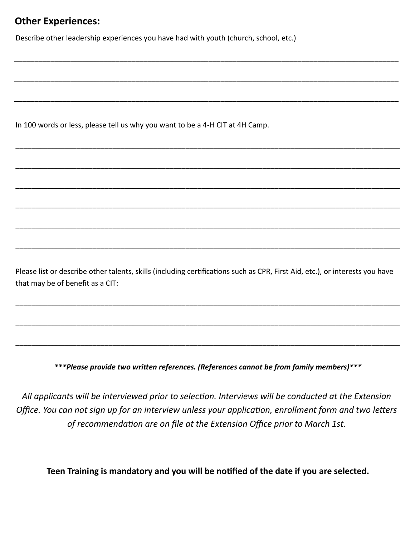#### **Other Experiences:**

Describe other leadership experiences you have had with youth (church, school, etc.)

In 100 words or less, please tell us why you want to be a 4-H CIT at 4H Camp.

Please list or describe other talents, skills (including certifications such as CPR, First Aid, etc.), or interests you have that may be of benefit as a CIT:

\_\_\_\_\_\_\_\_\_\_\_\_\_\_\_\_\_\_\_\_\_\_\_\_\_\_\_\_\_\_\_\_\_\_\_\_\_\_\_\_\_\_\_\_\_\_\_\_\_\_\_\_\_\_\_\_\_\_\_\_\_\_\_\_\_\_\_\_\_\_\_\_\_\_\_\_\_\_\_\_\_\_\_\_\_\_\_\_\_\_\_\_\_\_\_

\_\_\_\_\_\_\_\_\_\_\_\_\_\_\_\_\_\_\_\_\_\_\_\_\_\_\_\_\_\_\_\_\_\_\_\_\_\_\_\_\_\_\_\_\_\_\_\_\_\_\_\_\_\_\_\_\_\_\_\_\_\_\_\_\_\_\_\_\_\_\_\_\_\_\_\_\_\_\_\_\_\_\_\_\_\_\_\_\_\_\_\_\_\_\_

\_\_\_\_\_\_\_\_\_\_\_\_\_\_\_\_\_\_\_\_\_\_\_\_\_\_\_\_\_\_\_\_\_\_\_\_\_\_\_\_\_\_\_\_\_\_\_\_\_\_\_\_\_\_\_\_\_\_\_\_\_\_\_\_\_\_\_\_\_\_\_\_\_\_\_\_\_\_\_\_\_\_\_\_\_\_\_\_\_\_\_\_\_\_\_

\_\_\_\_\_\_\_\_\_\_\_\_\_\_\_\_\_\_\_\_\_\_\_\_\_\_\_\_\_\_\_\_\_\_\_\_\_\_\_\_\_\_\_\_\_\_\_\_\_\_\_\_\_\_\_\_\_\_\_\_\_\_\_\_\_\_\_\_\_\_\_\_\_\_\_\_\_\_\_\_\_\_\_\_\_\_\_\_\_\_\_\_\_\_\_

\_\_\_\_\_\_\_\_\_\_\_\_\_\_\_\_\_\_\_\_\_\_\_\_\_\_\_\_\_\_\_\_\_\_\_\_\_\_\_\_\_\_\_\_\_\_\_\_\_\_\_\_\_\_\_\_\_\_\_\_\_\_\_\_\_\_\_\_\_\_\_\_\_\_\_\_\_\_\_\_\_\_\_\_\_\_\_\_\_\_\_\_\_\_\_

\_\_\_\_\_\_\_\_\_\_\_\_\_\_\_\_\_\_\_\_\_\_\_\_\_\_\_\_\_\_\_\_\_\_\_\_\_\_\_\_\_\_\_\_\_\_\_\_\_\_\_\_\_\_\_\_\_\_\_\_\_\_\_\_\_\_\_\_\_\_\_\_\_\_\_\_\_\_\_\_\_\_\_\_\_\_\_\_\_\_\_\_\_\_\_

\_\_\_\_\_\_\_\_\_\_\_\_\_\_\_\_\_\_\_\_\_\_\_\_\_\_\_\_\_\_\_\_\_\_\_\_\_\_\_\_\_\_\_\_\_\_\_\_\_\_\_\_\_\_\_\_\_\_\_\_\_\_\_\_\_\_\_\_\_\_\_\_\_\_\_\_\_\_\_\_\_\_\_\_\_\_\_\_\_\_\_\_\_\_\_

\_\_\_\_\_\_\_\_\_\_\_\_\_\_\_\_\_\_\_\_\_\_\_\_\_\_\_\_\_\_\_\_\_\_\_\_\_\_\_\_\_\_\_\_\_\_\_\_\_\_\_\_\_\_\_\_\_\_\_\_\_\_\_\_\_\_\_\_\_\_\_\_\_\_\_\_\_\_\_\_\_\_\_\_\_\_\_\_\_\_\_\_\_\_\_

\_\_\_\_\_\_\_\_\_\_\_\_\_\_\_\_\_\_\_\_\_\_\_\_\_\_\_\_\_\_\_\_\_\_\_\_\_\_\_\_\_\_\_\_\_\_\_\_\_\_\_\_\_\_\_\_\_\_\_\_\_\_\_\_\_\_\_\_\_\_\_\_\_\_\_\_\_\_\_\_\_\_\_\_\_\_\_\_\_\_\_\_\_\_\_

\_\_\_\_\_\_\_\_\_\_\_\_\_\_\_\_\_\_\_\_\_\_\_\_\_\_\_\_\_\_\_\_\_\_\_\_\_\_\_\_\_\_\_\_\_\_\_\_\_\_\_\_\_\_\_\_\_\_\_\_\_\_\_\_\_\_\_\_\_\_\_\_\_\_\_\_\_\_\_\_\_\_\_\_\_\_\_\_\_\_\_\_\_\_\_

\_\_\_\_\_\_\_\_\_\_\_\_\_\_\_\_\_\_\_\_\_\_\_\_\_\_\_\_\_\_\_\_\_\_\_\_\_\_\_\_\_\_\_\_\_\_\_\_\_\_\_\_\_\_\_\_\_\_\_\_\_\_\_\_\_\_\_\_\_\_\_\_\_\_\_\_\_\_\_\_\_\_\_\_\_\_\_\_\_\_\_\_\_\_\_

\_\_\_\_\_\_\_\_\_\_\_\_\_\_\_\_\_\_\_\_\_\_\_\_\_\_\_\_\_\_\_\_\_\_\_\_\_\_\_\_\_\_\_\_\_\_\_\_\_\_\_\_\_\_\_\_\_\_\_\_\_\_\_\_\_\_\_\_\_\_\_\_\_\_\_\_\_\_\_\_\_\_\_\_\_\_\_\_\_\_\_\_\_\_\_

*\*\*\*Please provide two written references. (References cannot be from family members)\*\*\**

*All applicants will be interviewed prior to selection. Interviews will be conducted at the Extension Office. You can not sign up for an interview unless your application, enrollment form and two letters of recommendation are on file at the Extension Office prior to March 1st.* 

**Teen Training is mandatory and you will be notified of the date if you are selected.**